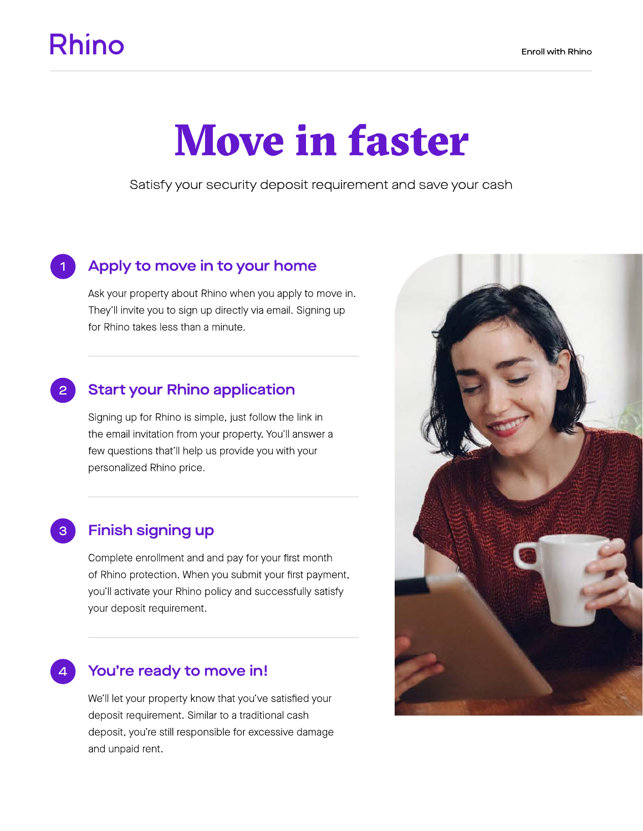## **Rhino**

# Move in faster

Satisfy your security deposit requirement and save your cash

#### Apply to move in to your home

Ask your property about Rhino when you apply to move in. They'll invite you to sign up directly via email. Signing up for Rhino takes less than a minute.

#### Start your Rhino application

Signing up for Rhino is simple, just follow the link in the email invitation from your property. You'll answer a few questions that'll help us provide you with your personalized Rhino price.

#### 3

4

1

2

#### Finish signing up

Complete enrollment and and pay for your first month of Rhino protection. When you submit your first payment, you'll activate your Rhino policy and successfully satisfy your deposit requirement.

#### You're ready to move in!

We'll let your property know that you've satisfied your deposit requirement. Similar to a traditional cash deposit, you're still responsible for excessive damage and unpaid rent.